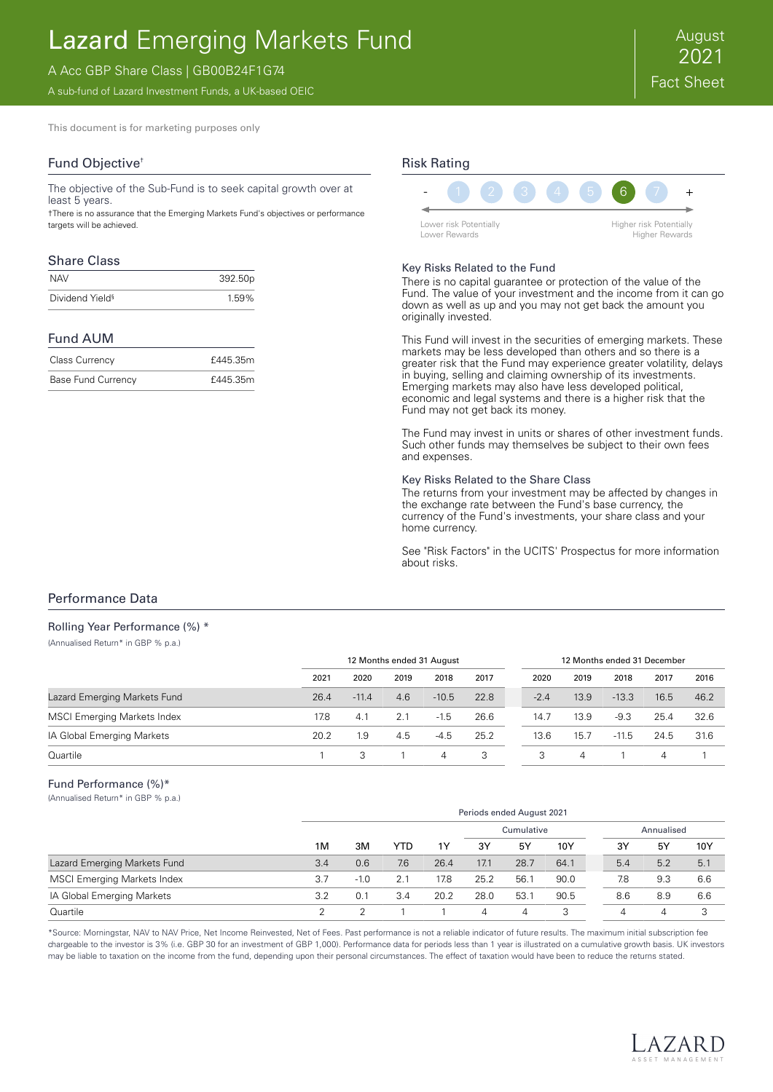# Lazard Emerging Markets Fund

# A Acc GBP Share Class | GB00B24F1G74

A sub-fund of Lazard Investment Funds, a UK-based OEIC

This document is for marketing purposes only

# Fund Objective†

The objective of the Sub-Fund is to seek capital growth over at least 5 years.

†There is no assurance that the Emerging Markets Fund's objectives or performance targets will be achieved.

## Share Class

| NAV                         | 392.50p |
|-----------------------------|---------|
| Dividend Yield <sup>§</sup> | 1.59%   |

## Fund AUM

| <b>Class Currency</b>     | £445.35m |
|---------------------------|----------|
| <b>Base Fund Currency</b> | £445.35m |

# Risk Rating



#### Key Risks Related to the Fund

There is no capital guarantee or protection of the value of the Fund. The value of your investment and the income from it can go down as well as up and you may not get back the amount you originally invested.

This Fund will invest in the securities of emerging markets. These markets may be less developed than others and so there is a greater risk that the Fund may experience greater volatility, delays in buying, selling and claiming ownership of its investments. Emerging markets may also have less developed political, economic and legal systems and there is a higher risk that the Fund may not get back its money.

The Fund may invest in units or shares of other investment funds. Such other funds may themselves be subject to their own fees and expenses.

#### Key Risks Related to the Share Class

The returns from your investment may be affected by changes in the exchange rate between the Fund's base currency, the currency of the Fund's investments, your share class and your home currency.

See "Risk Factors" in the UCITS' Prospectus for more information about risks.

## Performance Data

### Rolling Year Performance (%) \*

(Annualised Return\* in GBP % p.a.)

|                                    | 12 Months ended 31 August |         |      |         |      | 12 Months ended 31 December |                   |         |      |      |
|------------------------------------|---------------------------|---------|------|---------|------|-----------------------------|-------------------|---------|------|------|
|                                    | 2021                      | 2020    | 2019 | 2018    | 2017 | 2020                        | 2019              | 2018    | 2017 | 2016 |
| Lazard Emerging Markets Fund       | 26.4                      | $-11.4$ | 4.6  | $-10.5$ | 22.8 | $-2.4$                      | 13.9 <sup>°</sup> | $-13.3$ | 16.5 | 46.2 |
| <b>MSCI Emerging Markets Index</b> | 17.8                      | 4.1     | 2.1  | $-1.5$  | 26.6 | 14.7                        | 13.9              | $-9.3$  | 25.4 | 32.6 |
| IA Global Emerging Markets         | 20.2                      | . 9     | 4.5  | $-4.5$  | 25.2 | 13.6                        | 15.7              | $-11.5$ | 24.5 | 31.6 |
| Quartile                           |                           | 3       |      | 4       | 3    | 3                           | 4                 |         | 4    |      |

#### Fund Performance (%)\*

(Annualised Return\* in GBP % p.a.)

|                                    |     | Periods ended August 2021 |     |      |            |      |      |            |     |     |
|------------------------------------|-----|---------------------------|-----|------|------------|------|------|------------|-----|-----|
|                                    |     |                           |     |      | Cumulative |      |      | Annualised |     |     |
|                                    | 1M  | 3M                        | YTD | 1Y   | 3Y         | 5Y   | 10Y  | 3Y         | 5Y  | 10Y |
| Lazard Emerging Markets Fund       | 3.4 | 0.6                       | 7.6 | 26.4 | 17.1       | 28.7 | 64.1 | 5.4        | 5.2 | 5.1 |
| <b>MSCI Emerging Markets Index</b> | 3.7 | $-1.0$                    | 2.1 | 17.8 | 25.2       | 56.7 | 90.0 | 7.8        | 9.3 | 6.6 |
| IA Global Emerging Markets         | 3.2 |                           | 3.4 | 20.2 | 28.0       | 53.7 | 90.5 | 8.6        | 8.9 | 6.6 |
| Quartile                           | n   |                           |     |      | 4          | 4    |      | 4          | 4   |     |

\*Source: Morningstar, NAV to NAV Price, Net Income Reinvested, Net of Fees. Past performance is not a reliable indicator of future results. The maximum initial subscription fee chargeable to the investor is 3% (i.e. GBP 30 for an investment of GBP 1,000). Performance data for periods less than 1 year is illustrated on a cumulative growth basis. UK investors may be liable to taxation on the income from the fund, depending upon their personal circumstances. The effect of taxation would have been to reduce the returns stated.

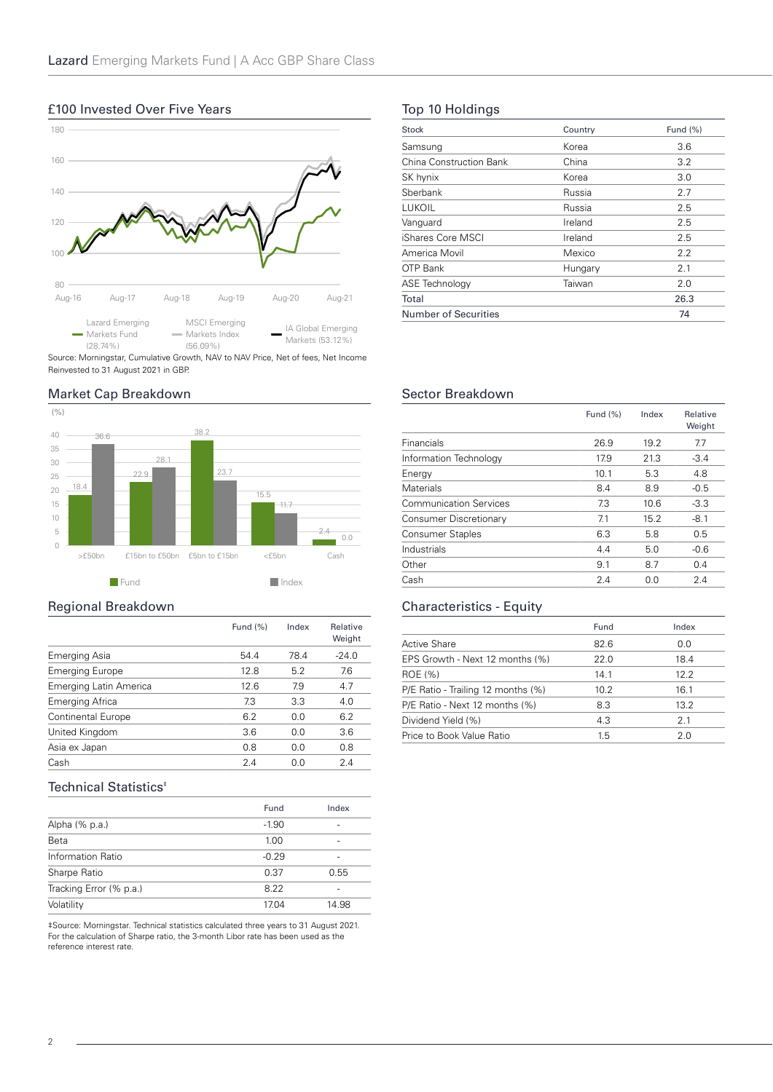# 80 100 120 140 160 180 Aug-16 Aug-17 Aug-18 Aug-19 Aug-20 Aug-21 Lazard Emerging Markets Fund (28.74%) MSCI Emerging Markets Index (56.09%) IA Global Emerging Markets (53.12%)

# £100 Invested Over Five Years

Source: Morningstar, Cumulative Growth, NAV to NAV Price, Net of fees, Net Income Reinvested to 31 August 2021 in GBP.

# Market Cap Breakdown



## Regional Breakdown

|                           | Fund (%) | Index | Relative<br>Weight |
|---------------------------|----------|-------|--------------------|
| Emerging Asia             | 54.4     | 78.4  | $-24.0$            |
| <b>Emerging Europe</b>    | 12.8     | 5.2   | 7.6                |
| Emerging Latin America    | 12.6     | 7.9   | 4.7                |
| Emerging Africa           | 7.3      | 3.3   | 4.0                |
| <b>Continental Europe</b> | 6.2      | 0.0   | 6.2                |
| United Kingdom            | 3.6      | 0.0   | 3.6                |
| Asia ex Japan             | 0.8      | 0.0   | 0.8                |
| Cash                      | 2.4      | 0 O   | 2.4                |

# Technical Statistics<sup>+</sup>

|                         | Fund    | Index |
|-------------------------|---------|-------|
| Alpha (% p.a.)          | $-1.90$ | -     |
| Beta                    | 1.00    | -     |
| Information Ratio       | $-0.29$ | -     |
| Sharpe Ratio            | 0.37    | 0.55  |
| Tracking Error (% p.a.) | 8.22    |       |
| Volatility              | 17.04   | 14.98 |

‡Source: Morningstar. Technical statistics calculated three years to 31 August 2021. Founder morningstall roomed, statemed encounter mass years as the For the calculation of Sharpe ratio, the 3-month Libor rate has been used as the reference interest rate.

# Top 10 Holdings

| Stock                   | Country | Fund (%) |
|-------------------------|---------|----------|
| Samsung                 | Korea   | 3.6      |
| China Construction Bank | China   | 3.2      |
| SK hynix                | Korea   | 3.0      |
| Sherbank                | Russia  | 2.7      |
| <b>LUKOIL</b>           | Russia  | 2.5      |
| Vanguard                | Ireland | 2.5      |
| iShares Core MSCI       | Ireland | 2.5      |
| America Movil           | Mexico  | 2.2      |
| OTP Bank                | Hungary | 2.1      |
| <b>ASE Technology</b>   | Taiwan  | 2.0      |
| Total                   |         | 26.3     |
| Number of Securities    |         | 74       |

# Sector Breakdown

|                               | Fund $(\%)$ | Index | Relative<br>Weight |
|-------------------------------|-------------|-------|--------------------|
| Financials                    | 26.9        | 19.2  | 7.7                |
| Information Technology        | 17.9        | 21.3  | $-3.4$             |
| Energy                        | 10.1        | 5.3   | 4.8                |
| Materials                     | 8.4         | 8.9   | $-0.5$             |
| <b>Communication Services</b> | 7.3         | 10.6  | $-3.3$             |
| Consumer Discretionary        | 7.1         | 15.2  | $-8.1$             |
| <b>Consumer Staples</b>       | 6.3         | 5.8   | 0.5                |
| Industrials                   | 4.4         | 5.0   | $-0.6$             |
| Other                         | 9.1         | 8.7   | 0.4                |
| Cash                          | 2.4         | 0.0   | 2.4                |

## Characteristics - Equity

|                                    | Fund | Index |
|------------------------------------|------|-------|
| Active Share                       | 82.6 | 0.0   |
| EPS Growth - Next 12 months (%)    | 22.0 | 18.4  |
| ROE (%)                            | 14.1 | 12.2  |
| P/E Ratio - Trailing 12 months (%) | 10.2 | 16.1  |
| P/E Ratio - Next 12 months (%)     | 8.3  | 13.2  |
| Dividend Yield (%)                 | 4.3  | 21    |
| Price to Book Value Ratio          | 1.5  | 2 በ   |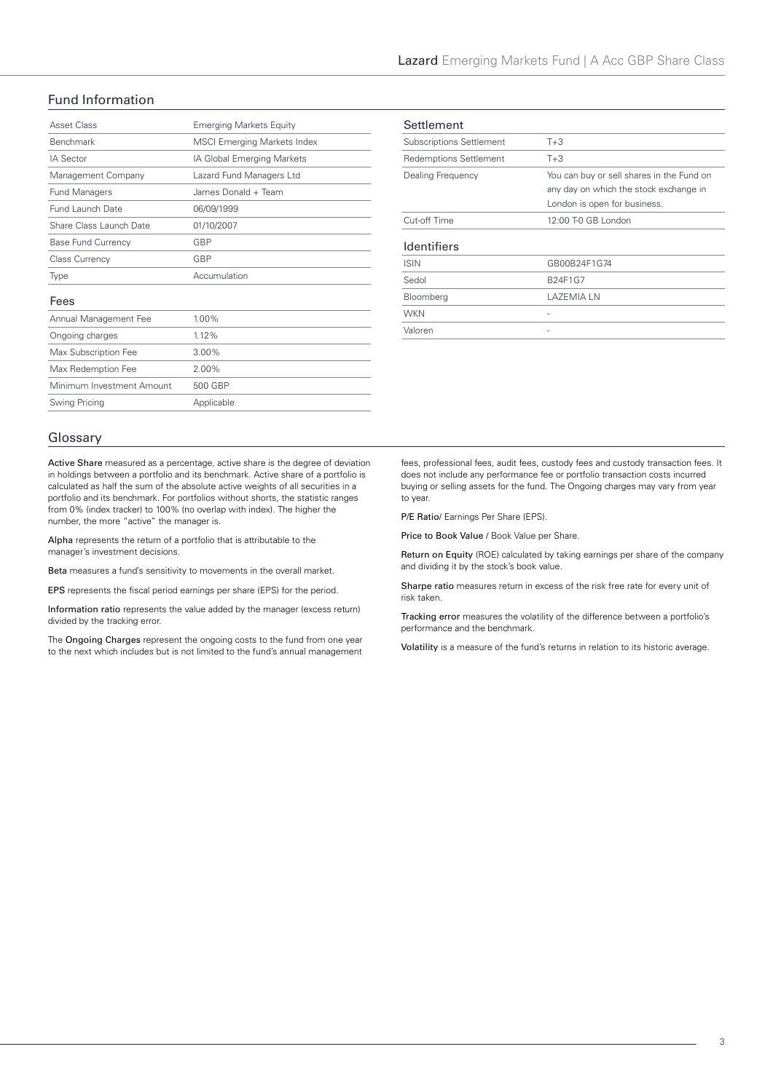# Fund Information

| Asset Class               | <b>Emerging Markets Equity</b>     |
|---------------------------|------------------------------------|
| <b>Benchmark</b>          | <b>MSCI Emerging Markets Index</b> |
| <b>IA Sector</b>          | IA Global Emerging Markets         |
| Management Company        | Lazard Fund Managers Ltd           |
| <b>Fund Managers</b>      | James Donald + Team                |
| Fund Launch Date          | 06/09/1999                         |
| Share Class Launch Date   | 01/10/2007                         |
| <b>Base Fund Currency</b> | GBP                                |
| <b>Class Currency</b>     | GBP                                |
| Type                      | Accumulation                       |
| Fees                      |                                    |
| Annual Management Fee     | 1.00%                              |
| Ongoing charges           | 1.12%                              |
| Max Subscription Fee      | $3.00\%$                           |
| Max Redemption Fee        | 2.00%                              |
| Minimum Investment Amount | 500 GBP                            |
| Swing Pricing             | Applicable                         |
|                           |                                    |

| Settlement                      |                                           |
|---------------------------------|-------------------------------------------|
| <b>Subscriptions Settlement</b> | $T + 3$                                   |
| <b>Redemptions Settlement</b>   | $T + 3$                                   |
| Dealing Frequency               | You can buy or sell shares in the Fund on |
|                                 | any day on which the stock exchange in    |
|                                 | London is open for business.              |
| Cut-off Time                    | 12:00 T-0 GB London                       |
| <b>Identifiers</b>              |                                           |
| <b>ISIN</b>                     | GB00B24F1G74                              |
| Sedol                           | B24F1G7                                   |
| Bloomberg                       | LAZEMIA LN                                |
| <b>WKN</b>                      | ۰                                         |
| Valoren                         |                                           |

## Glossary

Active Share measured as a percentage, active share is the degree of deviation in holdings between a portfolio and its benchmark. Active share of a portfolio is calculated as half the sum of the absolute active weights of all securities in a portfolio and its benchmark. For portfolios without shorts, the statistic ranges from 0% (index tracker) to 100% (no overlap with index). The higher the number, the more "active" the manager is.

Alpha represents the return of a portfolio that is attributable to the manager's investment decisions.

Beta measures a fund's sensitivity to movements in the overall market.

EPS represents the fiscal period earnings per share (EPS) for the period.

Information ratio represents the value added by the manager (excess return) divided by the tracking error.

The Ongoing Charges represent the ongoing costs to the fund from one year to the next which includes but is not limited to the fund's annual management

fees, professional fees, audit fees, custody fees and custody transaction fees. It does not include any performance fee or portfolio transaction costs incurred buying or selling assets for the fund. The Ongoing charges may vary from year to year.

P/E Ratio/ Earnings Per Share (EPS).

Price to Book Value / Book Value per Share.

Return on Equity (ROE) calculated by taking earnings per share of the company and dividing it by the stock's book value.

Sharpe ratio measures return in excess of the risk free rate for every unit of risk taken.

Tracking error measures the volatility of the difference between a portfolio's performance and the benchmark.

Volatility is a measure of the fund's returns in relation to its historic average.